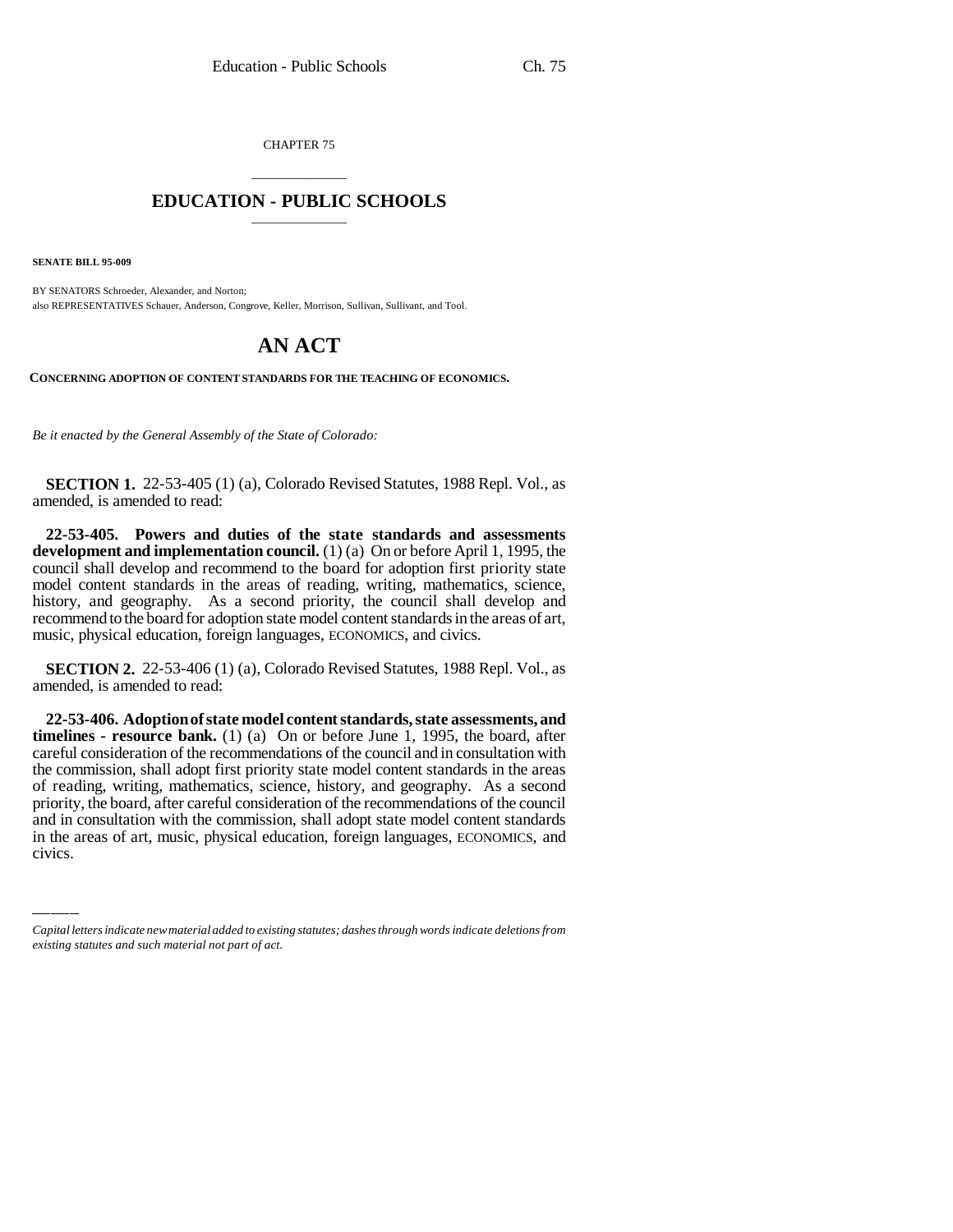CHAPTER 75

## \_\_\_\_\_\_\_\_\_\_\_\_\_\_\_ **EDUCATION - PUBLIC SCHOOLS** \_\_\_\_\_\_\_\_\_\_\_\_\_\_\_

**SENATE BILL 95-009**

BY SENATORS Schroeder, Alexander, and Norton; also REPRESENTATIVES Schauer, Anderson, Congrove, Keller, Morrison, Sullivan, Sullivant, and Tool.

## **AN ACT**

**CONCERNING ADOPTION OF CONTENT STANDARDS FOR THE TEACHING OF ECONOMICS.**

*Be it enacted by the General Assembly of the State of Colorado:*

**SECTION 1.** 22-53-405 (1) (a), Colorado Revised Statutes, 1988 Repl. Vol., as amended, is amended to read:

**22-53-405. Powers and duties of the state standards and assessments development and implementation council.** (1) (a) On or before April 1, 1995, the council shall develop and recommend to the board for adoption first priority state model content standards in the areas of reading, writing, mathematics, science, history, and geography. As a second priority, the council shall develop and recommend to the board for adoption state model content standards in the areas of art, music, physical education, foreign languages, ECONOMICS, and civics.

**SECTION 2.** 22-53-406 (1) (a), Colorado Revised Statutes, 1988 Repl. Vol., as amended, is amended to read:

priority, the board, after careful consideration of the recommendations of the council **22-53-406. Adoption of state model content standards, state assessments, and timelines - resource bank.** (1) (a) On or before June 1, 1995, the board, after careful consideration of the recommendations of the council and in consultation with the commission, shall adopt first priority state model content standards in the areas of reading, writing, mathematics, science, history, and geography. As a second and in consultation with the commission, shall adopt state model content standards in the areas of art, music, physical education, foreign languages, ECONOMICS, and civics.

*Capital letters indicate new material added to existing statutes; dashes through words indicate deletions from existing statutes and such material not part of act.*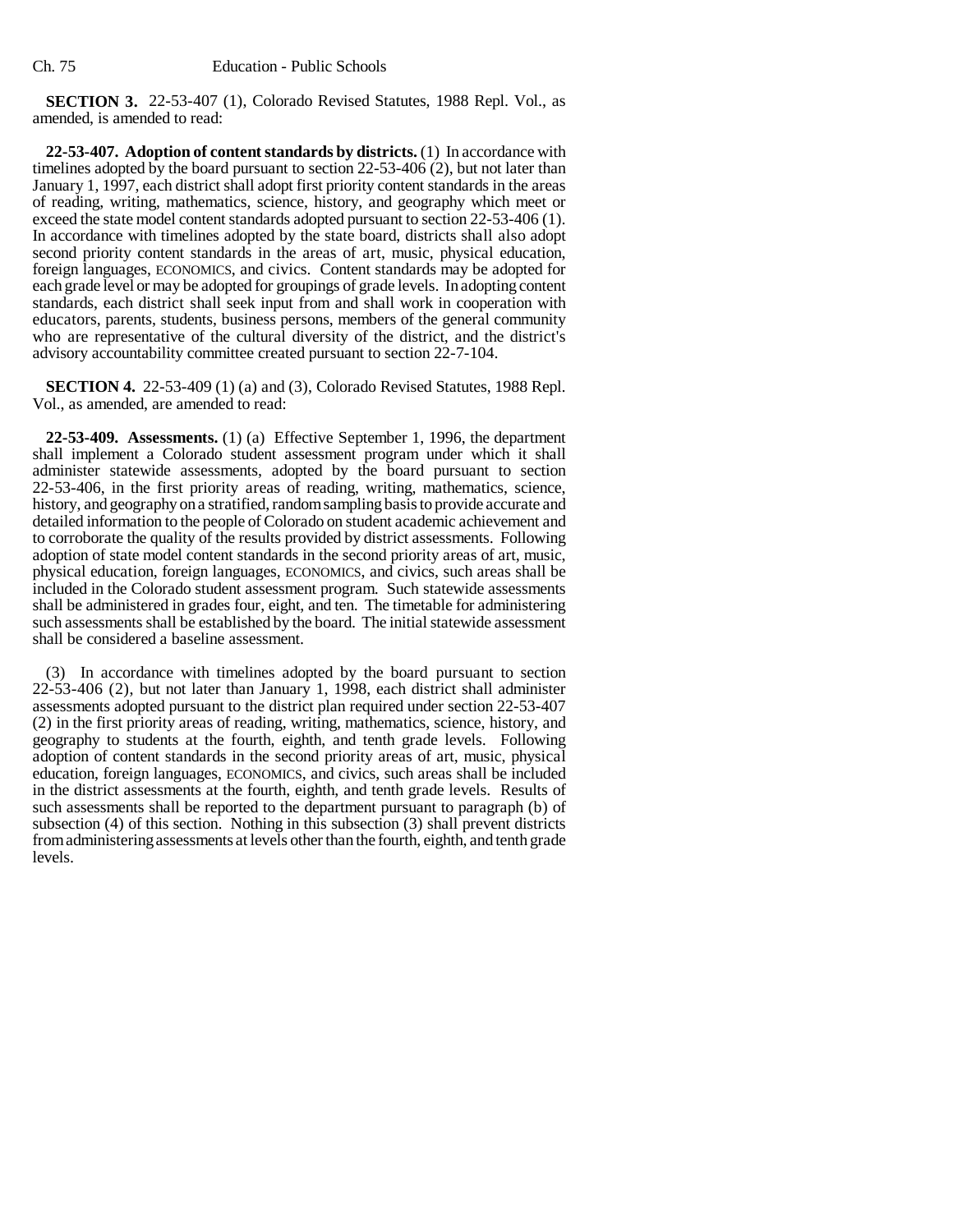**SECTION 3.** 22-53-407 (1), Colorado Revised Statutes, 1988 Repl. Vol., as amended, is amended to read:

**22-53-407. Adoption of content standards by districts.** (1) In accordance with timelines adopted by the board pursuant to section 22-53-406 (2), but not later than January 1, 1997, each district shall adopt first priority content standards in the areas of reading, writing, mathematics, science, history, and geography which meet or exceed the state model content standards adopted pursuant to section 22-53-406 (1). In accordance with timelines adopted by the state board, districts shall also adopt second priority content standards in the areas of art, music, physical education, foreign languages, ECONOMICS, and civics. Content standards may be adopted for each grade level or may be adopted for groupings of grade levels. In adopting content standards, each district shall seek input from and shall work in cooperation with educators, parents, students, business persons, members of the general community who are representative of the cultural diversity of the district, and the district's advisory accountability committee created pursuant to section 22-7-104.

**SECTION 4.** 22-53-409 (1) (a) and (3), Colorado Revised Statutes, 1988 Repl. Vol., as amended, are amended to read:

**22-53-409. Assessments.** (1) (a) Effective September 1, 1996, the department shall implement a Colorado student assessment program under which it shall administer statewide assessments, adopted by the board pursuant to section 22-53-406, in the first priority areas of reading, writing, mathematics, science, history, and geography on a stratified, random sampling basis to provide accurate and detailed information to the people of Colorado on student academic achievement and to corroborate the quality of the results provided by district assessments. Following adoption of state model content standards in the second priority areas of art, music, physical education, foreign languages, ECONOMICS, and civics, such areas shall be included in the Colorado student assessment program. Such statewide assessments shall be administered in grades four, eight, and ten. The timetable for administering such assessments shall be established by the board. The initial statewide assessment shall be considered a baseline assessment.

(3) In accordance with timelines adopted by the board pursuant to section 22-53-406 (2), but not later than January 1, 1998, each district shall administer assessments adopted pursuant to the district plan required under section 22-53-407 (2) in the first priority areas of reading, writing, mathematics, science, history, and geography to students at the fourth, eighth, and tenth grade levels. Following adoption of content standards in the second priority areas of art, music, physical education, foreign languages, ECONOMICS, and civics, such areas shall be included in the district assessments at the fourth, eighth, and tenth grade levels. Results of such assessments shall be reported to the department pursuant to paragraph (b) of subsection (4) of this section. Nothing in this subsection (3) shall prevent districts from administering assessments at levels other than the fourth, eighth, and tenth grade levels.